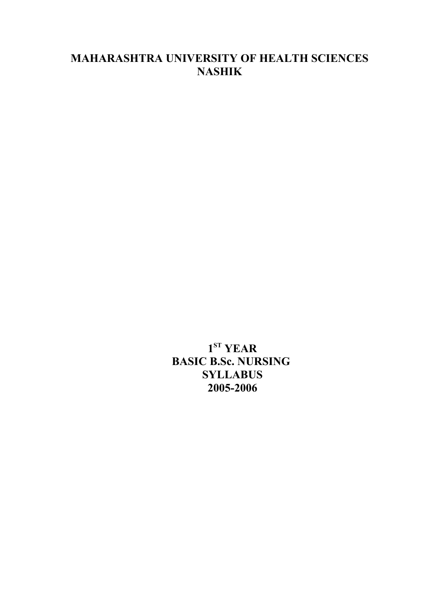# **MAHARASHTRA UNIVERSITY OF HEALTH SCIENCES NASHIK**

**1 ST YEAR BASIC B.Sc. NURSING SYLLABUS 2005-2006**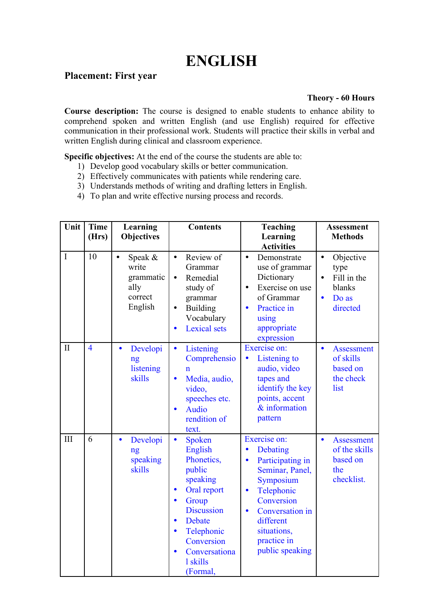# **ENGLISH**

# **Placement: First year**

#### **Theory - 60 Hours**

**Course description:** The course is designed to enable students to enhance ability to comprehend spoken and written English (and use English) required for effective communication in their professional work. Students will practice their skills in verbal and written English during clinical and classroom experience.

**Specific objectives:** At the end of the course the students are able to:

- 1) Develop good vocabulary skills or better communication.
- 2) Effectively communicates with patients while rendering care.
- 3) Understands methods of writing and drafting letters in English.
- 4) To plan and write effective nursing process and records.

| Unit         | <b>Time</b><br>(Hrs) | Learning<br><b>Objectives</b>                               | <b>Contents</b>                                                                                                                                                                                                                                                 | <b>Teaching</b><br>Learning                                                                                                                                                                                                                   | <b>Assessment</b><br><b>Methods</b>                                                                    |
|--------------|----------------------|-------------------------------------------------------------|-----------------------------------------------------------------------------------------------------------------------------------------------------------------------------------------------------------------------------------------------------------------|-----------------------------------------------------------------------------------------------------------------------------------------------------------------------------------------------------------------------------------------------|--------------------------------------------------------------------------------------------------------|
| $\mathbf I$  | 10                   | Speak &<br>write<br>grammatic<br>ally<br>correct<br>English | Review of<br>$\bullet$<br>Grammar<br>Remedial<br>$\bullet$<br>study of<br>grammar<br><b>Building</b><br>$\bullet$<br>Vocabulary<br><b>Lexical</b> sets<br>$\bullet$                                                                                             | <b>Activities</b><br>Demonstrate<br>$\bullet$<br>use of grammar<br>Dictionary<br>Exercise on use<br>$\bullet$<br>of Grammar<br>Practice in<br>$\bullet$<br>using<br>appropriate<br>expression                                                 | Objective<br>$\bullet$<br>type<br>Fill in the<br>$\bullet$<br>blanks<br>Do as<br>$\bullet$<br>directed |
| $\mathbf{I}$ | $\overline{4}$       | Developi<br>$\bullet$<br>ng<br>listening<br>skills          | Listening<br>$\bullet$<br>Comprehensio<br>n<br>Media, audio,<br>$\bullet$<br>video,<br>speeches etc.<br><b>Audio</b><br>$\bullet$<br>rendition of<br>text.                                                                                                      | Exercise on:<br>Listening to<br>$\bullet$<br>audio, video<br>tapes and<br>identify the key<br>points, accent<br>$&$ information<br>pattern                                                                                                    | <b>Assessment</b><br>$\bullet$<br>of skills<br>based on<br>the check<br>list                           |
| III          | 6                    | Developi<br>$\bullet$<br>ng<br>speaking<br>skills           | Spoken<br>$\bullet$<br>English<br>Phonetics,<br>public<br>speaking<br>Oral report<br>$\bullet$<br>Group<br>$\bullet$<br><b>Discussion</b><br>Debate<br>$\bullet$<br>Telephonic<br>$\bullet$<br>Conversion<br>Conversationa<br>$\bullet$<br>1 skills<br>(Formal, | Exercise on:<br>Debating<br>$\bullet$<br>Participating in<br>$\bullet$<br>Seminar, Panel,<br>Symposium<br>Telephonic<br>$\bullet$<br>Conversion<br>Conversation in<br>$\bullet$<br>different<br>situations,<br>practice in<br>public speaking | <b>Assessment</b><br>$\bullet$<br>of the skills<br>based on<br>the<br>checklist.                       |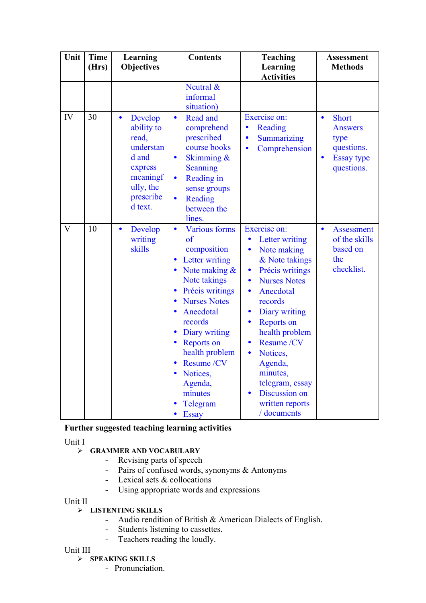| Unit                    | <b>Time</b><br>(Hrs) | Learning<br><b>Objectives</b>                                                                                                 | <b>Contents</b>                                                                                                                                                                                                                                                                                                                                                        | <b>Teaching</b><br>Learning<br><b>Activities</b>                                                                                                                                                                                                                                                                                                                                                                                                   | <b>Assessment</b><br><b>Methods</b>                                                                               |
|-------------------------|----------------------|-------------------------------------------------------------------------------------------------------------------------------|------------------------------------------------------------------------------------------------------------------------------------------------------------------------------------------------------------------------------------------------------------------------------------------------------------------------------------------------------------------------|----------------------------------------------------------------------------------------------------------------------------------------------------------------------------------------------------------------------------------------------------------------------------------------------------------------------------------------------------------------------------------------------------------------------------------------------------|-------------------------------------------------------------------------------------------------------------------|
|                         |                      |                                                                                                                               | Neutral &<br>informal<br>situation)                                                                                                                                                                                                                                                                                                                                    |                                                                                                                                                                                                                                                                                                                                                                                                                                                    |                                                                                                                   |
| IV                      | 30                   | Develop<br>$\bullet$<br>ability to<br>read,<br>understan<br>d and<br>express<br>meaningf<br>ully, the<br>prescribe<br>d text. | Read and<br>$\bullet$<br>comprehend<br>prescribed<br>course books<br>Skimming &<br>$\bullet$<br>Scanning<br>Reading in<br>$\bullet$<br>sense groups<br>Reading<br>$\bullet$<br>between the<br>lines.                                                                                                                                                                   | Exercise on:<br>Reading<br>$\bullet$<br>Summarizing<br>$\bullet$<br>Comprehension<br>$\bullet$                                                                                                                                                                                                                                                                                                                                                     | <b>Short</b><br>$\bullet$<br><b>Answers</b><br>type<br>questions.<br><b>Essay type</b><br>$\bullet$<br>questions. |
| $\overline{\mathbf{V}}$ | 10                   | Develop<br>$\bullet$<br>writing<br>skills                                                                                     | <b>Various forms</b><br>$\bullet$<br>of<br>composition<br>Letter writing<br>Note making $\&$<br>$\bullet$<br>Note takings<br>Précis writings<br>$\bullet$<br><b>Nurses Notes</b><br>$\bullet$<br>Anecdotal<br>records<br>Diary writing<br><b>Reports on</b><br>health problem<br>Resume /CV<br>Notices,<br>Agenda,<br>minutes<br>Telegram<br><b>Essay</b><br>$\bullet$ | Exercise on:<br>Letter writing<br>$\bullet$<br>Note making<br>$\bullet$<br>& Note takings<br>Précis writings<br>$\bullet$<br><b>Nurses Notes</b><br>$\bullet$<br>Anecdotal<br>$\bullet$<br>records<br>Diary writing<br>$\bullet$<br><b>Reports on</b><br>$\bullet$<br>health problem<br>Resume /CV<br>$\bullet$<br>Notices,<br>$\bullet$<br>Agenda,<br>minutes,<br>telegram, essay<br>Discussion on<br>$\bullet$<br>written reports<br>/ documents | <b>Assessment</b><br>$\bullet$<br>of the skills<br>based on<br>the<br>checklist.                                  |

#### **Further suggested teaching learning activities**

Unit I

#### **GRAMMER AND VOCABULARY**

- Revising parts of speech
- Pairs of confused words, synonyms & Antonyms
- Lexical sets & collocations
- Using appropriate words and expressions

Unit II

#### **LISTENTING SKILLS**

- Audio rendition of British & American Dialects of English.
- Students listening to cassettes.<br>- Teachers reading the loudly
- Teachers reading the loudly.

Unit III

#### **SPEAKING SKILLS**

- Pronunciation.